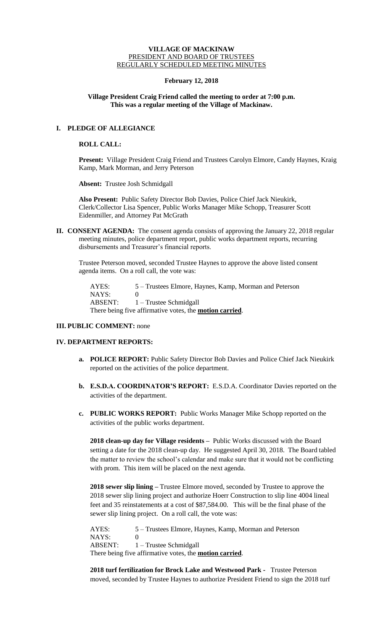### **VILLAGE OF MACKINAW** PRESIDENT AND BOARD OF TRUSTEES REGULARLY SCHEDULED MEETING MINUTES

### **February 12, 2018**

## **Village President Craig Friend called the meeting to order at 7:00 p.m. This was a regular meeting of the Village of Mackinaw.**

# **I. PLEDGE OF ALLEGIANCE**

### **ROLL CALL:**

**Present:** Village President Craig Friend and Trustees Carolyn Elmore, Candy Haynes, Kraig Kamp, Mark Morman, and Jerry Peterson

**Absent:** Trustee Josh Schmidgall

**Also Present:** Public Safety Director Bob Davies, Police Chief Jack Nieukirk, Clerk/Collector Lisa Spencer, Public Works Manager Mike Schopp, Treasurer Scott Eidenmiller, and Attorney Pat McGrath

**II. CONSENT AGENDA:** The consent agenda consists of approving the January 22, 2018 regular meeting minutes, police department report, public works department reports, recurring disbursements and Treasurer's financial reports.

Trustee Peterson moved, seconded Trustee Haynes to approve the above listed consent agenda items. On a roll call, the vote was:

AYES: 5 – Trustees Elmore, Haynes, Kamp, Morman and Peterson NAYS: 0 ABSENT: 1 – Trustee Schmidgall There being five affirmative votes, the **motion carried**.

## **III. PUBLIC COMMENT:** none

### **IV. DEPARTMENT REPORTS:**

- **a. POLICE REPORT:** Public Safety Director Bob Davies and Police Chief Jack Nieukirk reported on the activities of the police department.
- **b. E.S.D.A. COORDINATOR'S REPORT:** E.S.D.A. Coordinator Davies reported on the activities of the department.
- **c. PUBLIC WORKS REPORT:** Public Works Manager Mike Schopp reported on the activities of the public works department.

**2018 clean-up day for Village residents –** Public Works discussed with the Board setting a date for the 2018 clean-up day. He suggested April 30, 2018. The Board tabled the matter to review the school's calendar and make sure that it would not be conflicting with prom. This item will be placed on the next agenda.

**2018 sewer slip lining –** Trustee Elmore moved, seconded by Trustee to approve the 2018 sewer slip lining project and authorize Hoerr Construction to slip line 4004 lineal feet and 35 reinstatements at a cost of \$87,584.00. This will be the final phase of the sewer slip lining project. On a roll call, the vote was:

AYES: 5 – Trustees Elmore, Haynes, Kamp, Morman and Peterson NAYS: 0 ABSENT: 1 – Trustee Schmidgall There being five affirmative votes, the **motion carried**.

**2018 turf fertilization for Brock Lake and Westwood Park -** Trustee Peterson moved, seconded by Trustee Haynes to authorize President Friend to sign the 2018 turf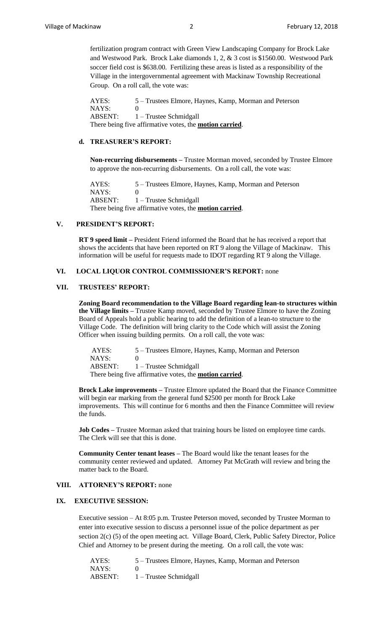fertilization program contract with Green View Landscaping Company for Brock Lake and Westwood Park. Brock Lake diamonds 1, 2, & 3 cost is \$1560.00. Westwood Park soccer field cost is \$638.00. Fertilizing these areas is listed as a responsibility of the Village in the intergovernmental agreement with Mackinaw Township Recreational Group. On a roll call, the vote was:

AYES: 5 – Trustees Elmore, Haynes, Kamp, Morman and Peterson NAYS: 0 ABSENT: 1 – Trustee Schmidgall There being five affirmative votes, the **motion carried**.

## **d. TREASURER'S REPORT:**

**Non-recurring disbursements –** Trustee Morman moved, seconded by Trustee Elmore to approve the non-recurring disbursements. On a roll call, the vote was:

AYES: 5 – Trustees Elmore, Haynes, Kamp, Morman and Peterson NAYS: 0 ABSENT: 1 – Trustee Schmidgall There being five affirmative votes, the **motion carried**.

# **V. PRESIDENT'S REPORT:**

**RT 9 speed limit –** President Friend informed the Board that he has received a report that shows the accidents that have been reported on RT 9 along the Village of Mackinaw. This information will be useful for requests made to IDOT regarding RT 9 along the Village.

### **VI. LOCAL LIQUOR CONTROL COMMISSIONER'S REPORT:** none

#### **VII. TRUSTEES' REPORT:**

**Zoning Board recommendation to the Village Board regarding lean-to structures within the Village limits –** Trustee Kamp moved, seconded by Trustee Elmore to have the Zoning Board of Appeals hold a public hearing to add the definition of a lean-to structure to the Village Code. The definition will bring clarity to the Code which will assist the Zoning Officer when issuing building permits. On a roll call, the vote was:

AYES: 5 – Trustees Elmore, Haynes, Kamp, Morman and Peterson NAYS: 0 ABSENT: 1 – Trustee Schmidgall There being five affirmative votes, the **motion carried**.

**Brock Lake improvements –** Trustee Elmore updated the Board that the Finance Committee will begin ear marking from the general fund \$2500 per month for Brock Lake improvements. This will continue for 6 months and then the Finance Committee will review the funds.

**Job Codes** – Trustee Morman asked that training hours be listed on employee time cards. The Clerk will see that this is done.

**Community Center tenant leases –** The Board would like the tenant leases for the community center reviewed and updated. Attorney Pat McGrath will review and bring the matter back to the Board.

#### **VIII. ATTORNEY'S REPORT:** none

### **IX. EXECUTIVE SESSION:**

Executive session – At 8:05 p.m. Trustee Peterson moved, seconded by Trustee Morman to enter into executive session to discuss a personnel issue of the police department as per section 2(c) (5) of the open meeting act. Village Board, Clerk, Public Safety Director, Police Chief and Attorney to be present during the meeting. On a roll call, the vote was:

| AYES:   | 5 – Trustees Elmore, Haynes, Kamp, Morman and Peterson |
|---------|--------------------------------------------------------|
| NAYS:   |                                                        |
| ABSENT: | $1 -$ Trustee Schmidgall                               |